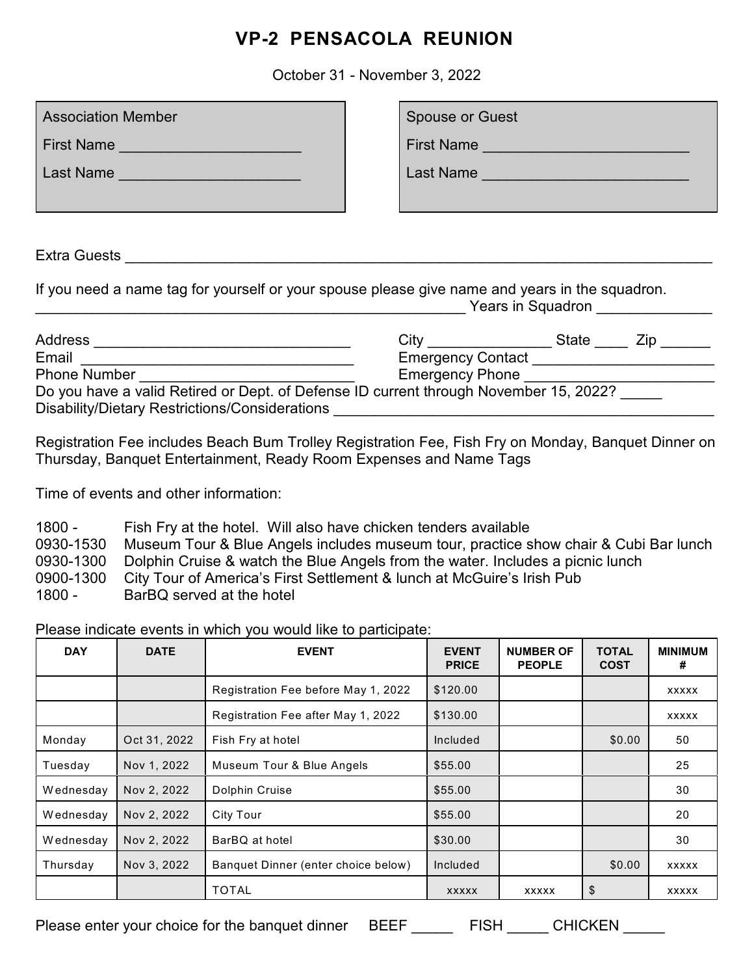## **VP-2 PENSACOLA REUNION**

October 31 - November 3, 2022

| <b>Association Member</b>                                                                                                                   | <b>Spouse or Guest</b>                                                                |  |  |  |  |  |  |
|---------------------------------------------------------------------------------------------------------------------------------------------|---------------------------------------------------------------------------------------|--|--|--|--|--|--|
| First Name                                                                                                                                  | First Name                                                                            |  |  |  |  |  |  |
| Last Name                                                                                                                                   | Last Name                                                                             |  |  |  |  |  |  |
|                                                                                                                                             |                                                                                       |  |  |  |  |  |  |
|                                                                                                                                             |                                                                                       |  |  |  |  |  |  |
| Extra Guests                                                                                                                                |                                                                                       |  |  |  |  |  |  |
| If you need a name tag for yourself or your spouse please give name and years in the squadron.<br><b>Example 2018</b> Years in Squadron     |                                                                                       |  |  |  |  |  |  |
| Email                                                                                                                                       | Emergency Contact _________________________                                           |  |  |  |  |  |  |
| <u> 1989 - Johann John Harry Harry Harry Harry Harry Harry Harry Harry Harry Harry Harry Harry Harry Harry Harry</u><br><b>Phone Number</b> | <b>Emergency Phone</b>                                                                |  |  |  |  |  |  |
| Disability/Dietary Restrictions/Considerations                                                                                              | Do you have a valid Retired or Dept. of Defense ID current through November 15, 2022? |  |  |  |  |  |  |

Registration Fee includes Beach Bum Trolley Registration Fee, Fish Fry on Monday, Banquet Dinner on Thursday, Banquet Entertainment, Ready Room Expenses and Name Tags

Time of events and other information:

| $1800 -$  | Fish Fry at the hotel. Will also have chicken tenders available                      |
|-----------|--------------------------------------------------------------------------------------|
| 0930-1530 | Museum Tour & Blue Angels includes museum tour, practice show chair & Cubi Bar lunch |
| 0930-1300 | Dolphin Cruise & watch the Blue Angels from the water. Includes a picnic lunch       |
| 0900-1300 | City Tour of America's First Settlement & lunch at McGuire's Irish Pub               |
| $1800 -$  | BarBQ served at the hotel                                                            |

Please indicate events in which you would like to participate:

| <b>DAY</b> | <b>DATE</b>  | <b>EVENT</b>                        | <b>EVENT</b><br><b>PRICE</b> | <b>NUMBER OF</b><br><b>PEOPLE</b> | <b>TOTAL</b><br><b>COST</b> | <b>MINIMUM</b><br># |
|------------|--------------|-------------------------------------|------------------------------|-----------------------------------|-----------------------------|---------------------|
|            |              | Registration Fee before May 1, 2022 | \$120.00                     |                                   |                             | <b>XXXXX</b>        |
|            |              | Registration Fee after May 1, 2022  | \$130.00                     |                                   |                             | <b>XXXXX</b>        |
| Monday     | Oct 31, 2022 | Fish Fry at hotel                   | Included                     |                                   | \$0.00                      | 50                  |
| Tuesday    | Nov 1, 2022  | Museum Tour & Blue Angels           | \$55.00                      |                                   |                             | 25                  |
| Wednesday  | Nov 2, 2022  | Dolphin Cruise                      | \$55.00                      |                                   |                             | 30                  |
| Wednesday  | Nov 2, 2022  | City Tour                           | \$55.00                      |                                   |                             | 20                  |
| Wednesday  | Nov 2, 2022  | BarBQ at hotel                      | \$30.00                      |                                   |                             | 30                  |
| Thursday   | Nov 3, 2022  | Banquet Dinner (enter choice below) | Included                     |                                   | \$0.00                      | <b>XXXXX</b>        |
|            |              | <b>TOTAL</b>                        | <b>XXXXX</b>                 | <b>XXXXX</b>                      | \$                          | <b>XXXXX</b>        |

Please enter your choice for the banquet dinner BEEF \_\_\_\_\_ FISH \_\_\_\_\_ CHICKEN \_\_\_\_